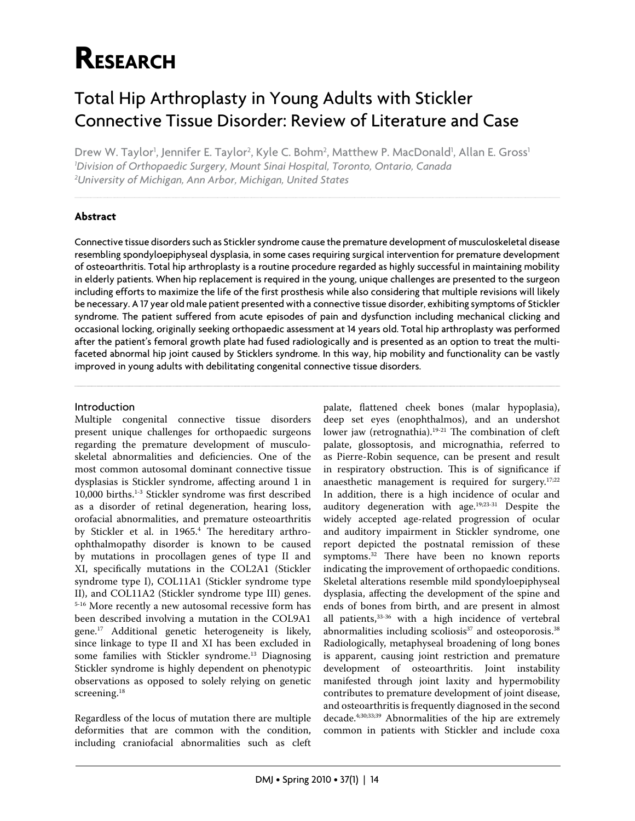# **RESEARCH**

## Total Hip Arthroplasty in Young Adults with Stickler Connective Tissue Disorder: Review of Literature and Case

Drew W. Taylor<sup>1</sup>, Jennifer E. Taylor<sup>2</sup>, Kyle C. Bohm<sup>2</sup>, Matthew P. MacDonald<sup>1</sup>, Allan E. Gross<sup>1</sup> *1 Division of Orthopaedic Surgery, Mount Sinai Hospital, Toronto, Ontario, Canada 2 University of Michigan, Ann Arbor, Michigan, United States*

## **Abstract**

Connective tissue disorders such as Stickler syndrome cause the premature development of musculoskeletal disease resembling spondyloepiphyseal dysplasia, in some cases requiring surgical intervention for premature development of osteoarthritis. Total hip arthroplasty is a routine procedure regarded as highly successful in maintaining mobility in elderly patients. When hip replacement is required in the young, unique challenges are presented to the surgeon including efforts to maximize the life of the first prosthesis while also considering that multiple revisions will likely be necessary. A 17 year old male patient presented with a connective tissue disorder, exhibiting symptoms of Stickler syndrome. The patient suffered from acute episodes of pain and dysfunction including mechanical clicking and occasional locking, originally seeking orthopaedic assessment at 14 years old. Total hip arthroplasty was performed after the patient's femoral growth plate had fused radiologically and is presented as an option to treat the multifaceted abnormal hip joint caused by Sticklers syndrome. In this way, hip mobility and functionality can be vastly improved in young adults with debilitating congenital connective tissue disorders.

### Introduction

Multiple congenital connective tissue disorders present unique challenges for orthopaedic surgeons regarding the premature development of musculoskeletal abnormalities and deficiencies. One of the most common autosomal dominant connective tissue dysplasias is Stickler syndrome, affecting around 1 in 10,000 births.1-3 Stickler syndrome was first described as a disorder of retinal degeneration, hearing loss, orofacial abnormalities, and premature osteoarthritis by Stickler et al. in 1965.<sup>4</sup> The hereditary arthroophthalmopathy disorder is known to be caused by mutations in procollagen genes of type II and XI, specifically mutations in the COL2A1 (Stickler syndrome type I), COL11A1 (Stickler syndrome type II), and COL11A2 (Stickler syndrome type III) genes. 5-16 More recently a new autosomal recessive form has been described involving a mutation in the COL9A1 gene.17 Additional genetic heterogeneity is likely, since linkage to type II and XI has been excluded in some families with Stickler syndrome.<sup>13</sup> Diagnosing Stickler syndrome is highly dependent on phenotypic observations as opposed to solely relying on genetic screening.<sup>18</sup>

Regardless of the locus of mutation there are multiple deformities that are common with the condition, including craniofacial abnormalities such as cleft

palate, flattened cheek bones (malar hypoplasia), deep set eyes (enophthalmos), and an undershot lower jaw (retrognathia). $19-21$  The combination of cleft palate, glossoptosis, and micrognathia, referred to as Pierre-Robin sequence, can be present and result in respiratory obstruction. This is of significance if anaesthetic management is required for surgery.<sup>17;22</sup> In addition, there is a high incidence of ocular and auditory degeneration with age.19;23-31 Despite the widely accepted age-related progression of ocular and auditory impairment in Stickler syndrome, one report depicted the postnatal remission of these symptoms.<sup>32</sup> There have been no known reports indicating the improvement of orthopaedic conditions. Skeletal alterations resemble mild spondyloepiphyseal dysplasia, affecting the development of the spine and ends of bones from birth, and are present in almost all patients,33-36 with a high incidence of vertebral abnormalities including scoliosis<sup>37</sup> and osteoporosis.<sup>38</sup> Radiologically, metaphyseal broadening of long bones is apparent, causing joint restriction and premature development of osteoarthritis. Joint instability manifested through joint laxity and hypermobility contributes to premature development of joint disease, and osteoarthritis is frequently diagnosed in the second decade.<sup>4;30;33;39</sup> Abnormalities of the hip are extremely common in patients with Stickler and include coxa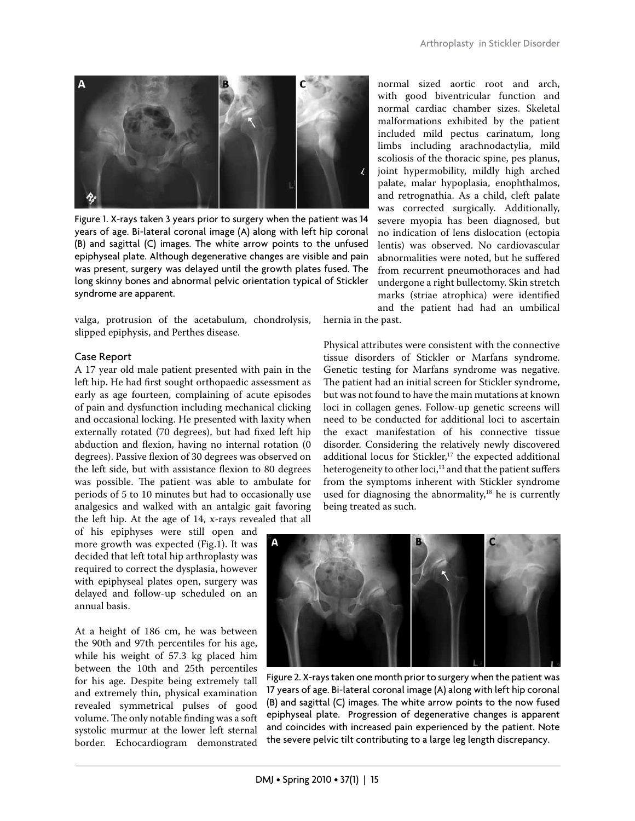

Figure 1. X-rays taken 3 years prior to surgery when the patient was 14 years of age. Bi-lateral coronal image (A) along with left hip coronal (B) and sagittal (C) images. The white arrow points to the unfused epiphyseal plate. Although degenerative changes are visible and pain was present, surgery was delayed until the growth plates fused. The long skinny bones and abnormal pelvic orientation typical of Stickler syndrome are apparent.

valga, protrusion of the acetabulum, chondrolysis, slipped epiphysis, and Perthes disease.

#### Case Report

A 17 year old male patient presented with pain in the left hip. He had first sought orthopaedic assessment as early as age fourteen, complaining of acute episodes of pain and dysfunction including mechanical clicking and occasional locking. He presented with laxity when externally rotated (70 degrees), but had fixed left hip abduction and flexion, having no internal rotation (0 degrees). Passive flexion of 30 degrees was observed on the left side, but with assistance flexion to 80 degrees was possible. The patient was able to ambulate for periods of 5 to 10 minutes but had to occasionally use analgesics and walked with an antalgic gait favoring the left hip. At the age of 14, x-rays revealed that all

of his epiphyses were still open and more growth was expected (Fig.1). It was decided that left total hip arthroplasty was required to correct the dysplasia, however with epiphyseal plates open, surgery was delayed and follow-up scheduled on an annual basis.

At a height of 186 cm, he was between the 90th and 97th percentiles for his age, while his weight of 57.3 kg placed him between the 10th and 25th percentiles for his age. Despite being extremely tall and extremely thin, physical examination revealed symmetrical pulses of good volume. The only notable finding was a soft systolic murmur at the lower left sternal border. Echocardiogram demonstrated normal sized aortic root and arch, with good biventricular function and normal cardiac chamber sizes. Skeletal malformations exhibited by the patient included mild pectus carinatum, long limbs including arachnodactylia, mild scoliosis of the thoracic spine, pes planus, joint hypermobility, mildly high arched palate, malar hypoplasia, enophthalmos, and retrognathia. As a child, cleft palate was corrected surgically. Additionally, severe myopia has been diagnosed, but no indication of lens dislocation (ectopia lentis) was observed. No cardiovascular abnormalities were noted, but he suffered from recurrent pneumothoraces and had undergone a right bullectomy. Skin stretch marks (striae atrophica) were identified and the patient had had an umbilical

hernia in the past.

Physical attributes were consistent with the connective tissue disorders of Stickler or Marfans syndrome. Genetic testing for Marfans syndrome was negative. The patient had an initial screen for Stickler syndrome, but was not found to have the main mutations at known loci in collagen genes. Follow-up genetic screens will need to be conducted for additional loci to ascertain the exact manifestation of his connective tissue disorder. Considering the relatively newly discovered additional locus for Stickler,<sup>17</sup> the expected additional heterogeneity to other loci,<sup>13</sup> and that the patient suffers from the symptoms inherent with Stickler syndrome used for diagnosing the abnormality, $18$  he is currently being treated as such.



Figure 2. X-rays taken one month prior to surgery when the patient was 17 years of age. Bi-lateral coronal image (A) along with left hip coronal (B) and sagittal (C) images. The white arrow points to the now fused epiphyseal plate. Progression of degenerative changes is apparent and coincides with increased pain experienced by the patient. Note the severe pelvic tilt contributing to a large leg length discrepancy.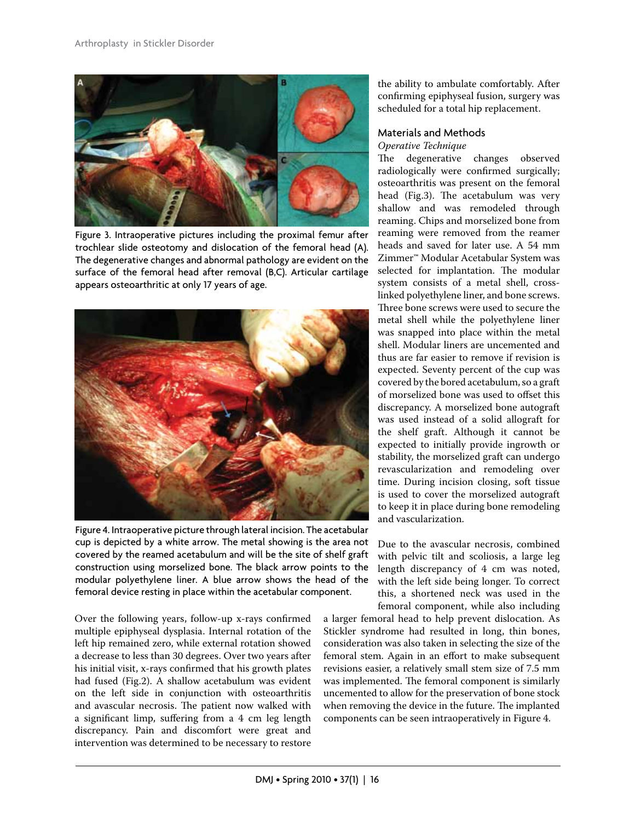

Figure 3. Intraoperative pictures including the proximal femur after trochlear slide osteotomy and dislocation of the femoral head (A). The degenerative changes and abnormal pathology are evident on the surface of the femoral head after removal (B,C). Articular cartilage appears osteoarthritic at only 17 years of age.



Figure 4. Intraoperative picture through lateral incision. The acetabular cup is depicted by a white arrow. The metal showing is the area not covered by the reamed acetabulum and will be the site of shelf graft construction using morselized bone. The black arrow points to the modular polyethylene liner. A blue arrow shows the head of the femoral device resting in place within the acetabular component.

Over the following years, follow-up x-rays confirmed multiple epiphyseal dysplasia. Internal rotation of the left hip remained zero, while external rotation showed a decrease to less than 30 degrees. Over two years after his initial visit, x-rays confirmed that his growth plates had fused (Fig.2). A shallow acetabulum was evident on the left side in conjunction with osteoarthritis and avascular necrosis. The patient now walked with a significant limp, suffering from a 4 cm leg length discrepancy. Pain and discomfort were great and intervention was determined to be necessary to restore

the ability to ambulate comfortably. After confirming epiphyseal fusion, surgery was scheduled for a total hip replacement.

## Materials and Methods

Operative Technique

The degenerative changes observed radiologically were confirmed surgically; osteoarthritis was present on the femoral head (Fig.3). The acetabulum was very shallow and was remodeled through reaming. Chips and morselized bone from reaming were removed from the reamer heads and saved for later use. A 54 mm Zimmer™ Modular Acetabular System was selected for implantation. The modular system consists of a metal shell, crosslinked polyethylene liner, and bone screws. Three bone screws were used to secure the metal shell while the polyethylene liner was snapped into place within the metal shell. Modular liners are uncemented and thus are far easier to remove if revision is expected. Seventy percent of the cup was covered by the bored acetabulum, so a graft of morselized bone was used to offset this discrepancy. A morselized bone autograft was used instead of a solid allograft for the shelf graft. Although it cannot be expected to initially provide ingrowth or stability, the morselized graft can undergo revascularization and remodeling over time. During incision closing, soft tissue is used to cover the morselized autograft to keep it in place during bone remodeling and vascularization.

Due to the avascular necrosis, combined with pelvic tilt and scoliosis, a large leg length discrepancy of 4 cm was noted, with the left side being longer. To correct this, a shortened neck was used in the femoral component, while also including

a larger femoral head to help prevent dislocation. As Stickler syndrome had resulted in long, thin bones, consideration was also taken in selecting the size of the femoral stem. Again in an effort to make subsequent revisions easier, a relatively small stem size of 7.5 mm was implemented. The femoral component is similarly uncemented to allow for the preservation of bone stock when removing the device in the future. The implanted components can be seen intraoperatively in Figure 4.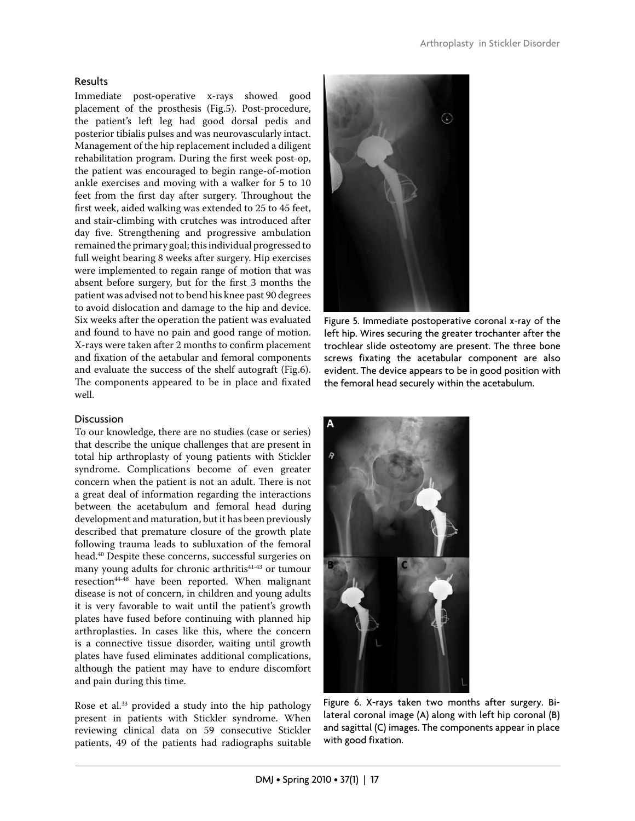## Results

Immediate post-operative x-rays showed good placement of the prosthesis (Fig.5). Post-procedure, the patient's left leg had good dorsal pedis and posterior tibialis pulses and was neurovascularly intact. Management of the hip replacement included a diligent rehabilitation program. During the first week post-op, the patient was encouraged to begin range-of-motion ankle exercises and moving with a walker for 5 to 10 feet from the first day after surgery. Throughout the first week, aided walking was extended to 25 to 45 feet, and stair-climbing with crutches was introduced after day five. Strengthening and progressive ambulation remained the primary goal; this individual progressed to full weight bearing 8 weeks after surgery. Hip exercises were implemented to regain range of motion that was absent before surgery, but for the first 3 months the patient was advised not to bend his knee past 90 degrees to avoid dislocation and damage to the hip and device. Six weeks after the operation the patient was evaluated and found to have no pain and good range of motion. X-rays were taken after 2 months to confirm placement and fixation of the aetabular and femoral components and evaluate the success of the shelf autograft (Fig.6). The components appeared to be in place and fixated well.

## **Discussion**

To our knowledge, there are no studies (case or series) that describe the unique challenges that are present in total hip arthroplasty of young patients with Stickler syndrome. Complications become of even greater concern when the patient is not an adult. There is not a great deal of information regarding the interactions between the acetabulum and femoral head during development and maturation, but it has been previously described that premature closure of the growth plate following trauma leads to subluxation of the femoral head.40 Despite these concerns, successful surgeries on many young adults for chronic arthritis<sup>41-43</sup> or tumour resection<sup>44-48</sup> have been reported. When malignant disease is not of concern, in children and young adults it is very favorable to wait until the patient's growth plates have fused before continuing with planned hip arthroplasties. In cases like this, where the concern is a connective tissue disorder, waiting until growth plates have fused eliminates additional complications, although the patient may have to endure discomfort and pain during this time.

Rose et al.<sup>33</sup> provided a study into the hip pathology present in patients with Stickler syndrome. When reviewing clinical data on 59 consecutive Stickler patients, 49 of the patients had radiographs suitable



Figure 5. Immediate postoperative coronal x-ray of the left hip. Wires securing the greater trochanter after the trochlear slide osteotomy are present. The three bone screws fixating the acetabular component are also evident. The device appears to be in good position with the femoral head securely within the acetabulum.



Figure 6. X-rays taken two months after surgery. Bilateral coronal image (A) along with left hip coronal (B) and sagittal (C) images. The components appear in place with good fixation.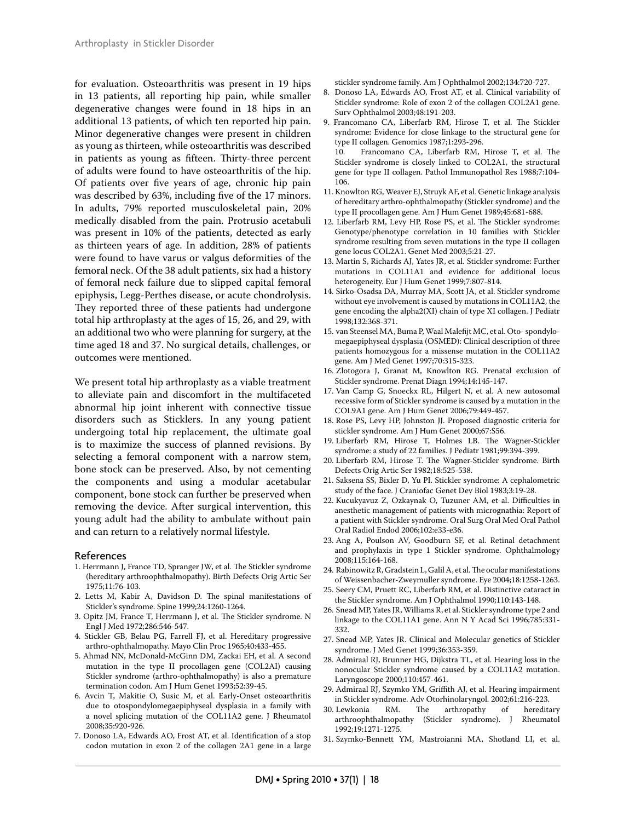for evaluation. Osteoarthritis was present in 19 hips in 13 patients, all reporting hip pain, while smaller degenerative changes were found in 18 hips in an additional 13 patients, of which ten reported hip pain. Minor degenerative changes were present in children as young as thirteen, while osteoarthritis was described in patients as young as fifteen. Thirty-three percent of adults were found to have osteoarthritis of the hip. Of patients over five years of age, chronic hip pain was described by 63%, including five of the 17 minors. In adults, 79% reported musculoskeletal pain, 20% medically disabled from the pain. Protrusio acetabuli was present in 10% of the patients, detected as early as thirteen years of age. In addition, 28% of patients were found to have varus or valgus deformities of the femoral neck. Of the 38 adult patients, six had a history of femoral neck failure due to slipped capital femoral epiphysis, Legg-Perthes disease, or acute chondrolysis. They reported three of these patients had undergone total hip arthroplasty at the ages of 15, 26, and 29, with an additional two who were planning for surgery, at the time aged 18 and 37. No surgical details, challenges, or outcomes were mentioned.

We present total hip arthroplasty as a viable treatment to alleviate pain and discomfort in the multifaceted abnormal hip joint inherent with connective tissue disorders such as Sticklers. In any young patient undergoing total hip replacement, the ultimate goal is to maximize the success of planned revisions. By selecting a femoral component with a narrow stem, bone stock can be preserved. Also, by not cementing the components and using a modular acetabular component, bone stock can further be preserved when removing the device. After surgical intervention, this young adult had the ability to ambulate without pain and can return to a relatively normal lifestyle.

#### References

- 1. Herrmann J, France TD, Spranger JW, et al. The Stickler syndrome (hereditary arthroophthalmopathy). Birth Defects Orig Artic Ser 1975;11:76-103.
- 2. Letts M, Kabir A, Davidson D. The spinal manifestations of Stickler's syndrome. Spine 1999;24:1260-1264.
- 3. Opitz JM, France T, Herrmann J, et al. The Stickler syndrome. N Engl J Med 1972;286:546-547.
- 4. Stickler GB, Belau PG, Farrell FJ, et al. Hereditary progressive arthro-ophthalmopathy. Mayo Clin Proc 1965;40:433-455.
- 5. Ahmad NN, McDonald-McGinn DM, Zackai EH, et al. A second mutation in the type II procollagen gene (COL2AI) causing Stickler syndrome (arthro-ophthalmopathy) is also a premature termination codon. Am J Hum Genet 1993;52:39-45.
- 6. Avcin T, Makitie O, Susic M, et al. Early-Onset osteoarthritis due to otospondylomegaepiphyseal dysplasia in a family with a novel splicing mutation of the COL11A2 gene. J Rheumatol 2008;35:920-926.
- 7. Donoso LA, Edwards AO, Frost AT, et al. Identification of a stop codon mutation in exon 2 of the collagen 2A1 gene in a large

stickler syndrome family. Am J Ophthalmol 2002;134:720-727.

- 8. Donoso LA, Edwards AO, Frost AT, et al. Clinical variability of Stickler syndrome: Role of exon 2 of the collagen COL2A1 gene. Surv Ophthalmol 2003;48:191-203.
- 9. Francomano CA, Liberfarb RM, Hirose T, et al. The Stickler syndrome: Evidence for close linkage to the structural gene for type II collagen. Genomics 1987;1:293-296.<br>10. Francomano, C.A., Liberfarb, R.M.
- Francomano CA, Liberfarb RM, Hirose T, et al. The Stickler syndrome is closely linked to COL2A1, the structural gene for type II collagen. Pathol Immunopathol Res 1988;7:104- 106.
- 11. Knowlton RG, Weaver EJ, Struyk AF, et al. Genetic linkage analysis of hereditary arthro-ophthalmopathy (Stickler syndrome) and the type II procollagen gene. Am J Hum Genet 1989;45:681-688.
- 12. Liberfarb RM, Levy HP, Rose PS, et al. The Stickler syndrome: Genotype/phenotype correlation in 10 families with Stickler syndrome resulting from seven mutations in the type II collagen gene locus COL2A1. Genet Med 2003;5:21-27.
- 13. Martin S, Richards AJ, Yates JR, et al. Stickler syndrome: Further mutations in COL11A1 and evidence for additional locus heterogeneity. Eur J Hum Genet 1999;7:807-814.
- 14. Sirko-Osadsa DA, Murray MA, Scott JA, et al. Stickler syndrome without eye involvement is caused by mutations in COL11A2, the gene encoding the alpha2(XI) chain of type XI collagen. J Pediatr 1998;132:368-371.
- 15. van Steensel MA, Buma P, Waal Malefijt MC, et al. Oto- spondylomegaepiphyseal dysplasia (OSMED): Clinical description of three patients homozygous for a missense mutation in the COL11A2 gene. Am J Med Genet 1997;70:315-323.
- 16. Zlotogora J, Granat M, Knowlton RG. Prenatal exclusion of Stickler syndrome. Prenat Diagn 1994;14:145-147.
- 17. Van Camp G, Snoeckx RL, Hilgert N, et al. A new autosomal recessive form of Stickler syndrome is caused by a mutation in the COL9A1 gene. Am J Hum Genet 2006;79:449-457.
- 18. Rose PS, Levy HP, Johnston JJ. Proposed diagnostic criteria for stickler syndrome. Am J Hum Genet 2000;67:S56.
- 19. Liberfarb RM, Hirose T, Holmes LB. The Wagner-Stickler syndrome: a study of 22 families. J Pediatr 1981;99:394-399.
- 20. Liberfarb RM, Hirose T. The Wagner-Stickler syndrome. Birth Defects Orig Artic Ser 1982;18:525-538.
- 21. Saksena SS, Bixler D, Yu PI. Stickler syndrome: A cephalometric study of the face. J Craniofac Genet Dev Biol 1983;3:19-28.
- 22. Kucukyavuz Z, Ozkaynak O, Tuzuner AM, et al. Difficulties in anesthetic management of patients with micrognathia: Report of a patient with Stickler syndrome. Oral Surg Oral Med Oral Pathol Oral Radiol Endod 2006;102:e33-e36.
- 23. Ang A, Poulson AV, Goodburn SF, et al. Retinal detachment and prophylaxis in type 1 Stickler syndrome. Ophthalmology 2008;115:164-168.
- 24. Rabinowitz R, Gradstein L, Galil A, et al. The ocular manifestations of Weissenbacher-Zweymuller syndrome. Eye 2004;18:1258-1263.
- 25. Seery CM, Pruett RC, Liberfarb RM, et al. Distinctive cataract in the Stickler syndrome. Am J Ophthalmol 1990;110:143-148.
- 26. Snead MP, Yates JR, Williams R, et al. Stickler syndrome type 2 and linkage to the COL11A1 gene. Ann N Y Acad Sci 1996;785:331- 332.
- 27. Snead MP, Yates JR. Clinical and Molecular genetics of Stickler syndrome. J Med Genet 1999;36:353-359.
- 28. Admiraal RJ, Brunner HG, Dijkstra TL, et al. Hearing loss in the nonocular Stickler syndrome caused by a COL11A2 mutation. Laryngoscope 2000;110:457-461.
- 29. Admiraal RJ, Szymko YM, Griffith AJ, et al. Hearing impairment in Stickler syndrome. Adv Otorhinolaryngol. 2002;61:216-223.
- 30. Lewkonia RM. The arthropathy of arthroophthalmopathy (Stickler syndrome). J Rheumatol 1992;19:1271-1275.
- 31. Szymko-Bennett YM, Mastroianni MA, Shotland LI, et al.